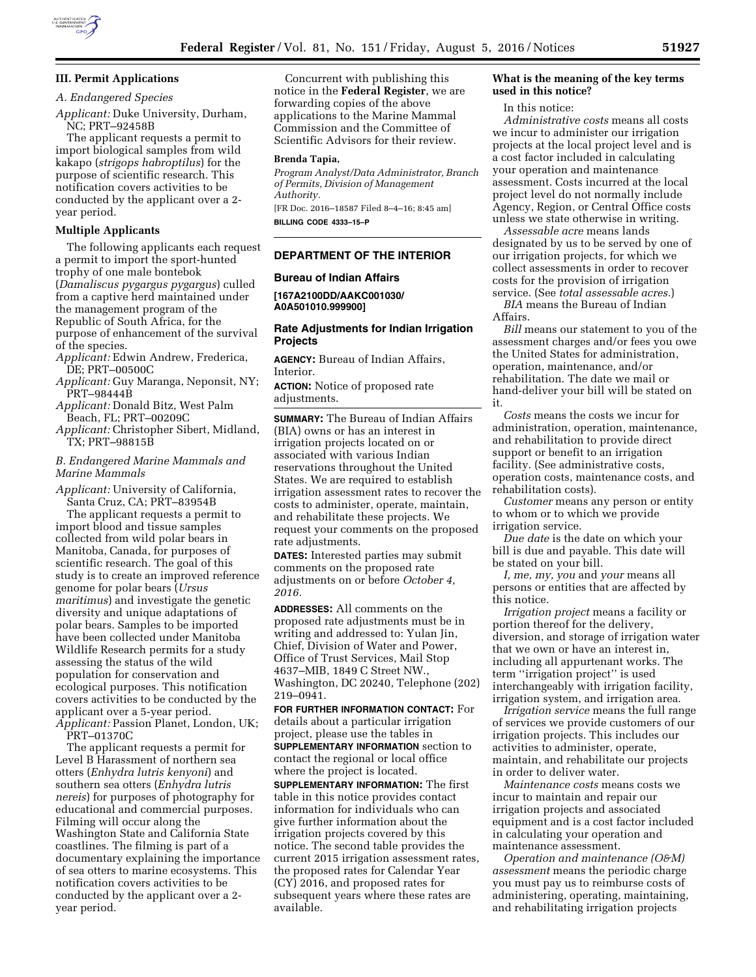

# **III. Permit Applications**

# *A. Endangered Species*

*Applicant:* Duke University, Durham,

NC; PRT–92458B The applicant requests a permit to import biological samples from wild kakapo (*strigops habroptilus*) for the purpose of scientific research. This notification covers activities to be conducted by the applicant over a 2 year period.

### **Multiple Applicants**

The following applicants each request a permit to import the sport-hunted trophy of one male bontebok (*Damaliscus pygargus pygargus*) culled from a captive herd maintained under the management program of the Republic of South Africa, for the purpose of enhancement of the survival of the species.

*Applicant:* Edwin Andrew, Frederica, DE; PRT–00500C

- *Applicant:* Guy Maranga, Neponsit, NY; PRT–98444B
- *Applicant:* Donald Bitz, West Palm Beach, FL; PRT–00209C
- *Applicant:* Christopher Sibert, Midland, TX; PRT–98815B

#### *B. Endangered Marine Mammals and Marine Mammals*

*Applicant:* University of California, Santa Cruz, CA; PRT–83954B

The applicant requests a permit to import blood and tissue samples collected from wild polar bears in Manitoba, Canada, for purposes of scientific research. The goal of this study is to create an improved reference genome for polar bears (*Ursus maritimus*) and investigate the genetic diversity and unique adaptations of polar bears. Samples to be imported have been collected under Manitoba Wildlife Research permits for a study assessing the status of the wild population for conservation and ecological purposes. This notification covers activities to be conducted by the applicant over a 5-year period. *Applicant:* Passion Planet, London, UK;

PRT–01370C

The applicant requests a permit for Level B Harassment of northern sea otters (*Enhydra lutris kenyoni*) and southern sea otters (*Enhydra lutris nereis*) for purposes of photography for educational and commercial purposes. Filming will occur along the Washington State and California State coastlines. The filming is part of a documentary explaining the importance of sea otters to marine ecosystems. This notification covers activities to be conducted by the applicant over a 2 year period.

Concurrent with publishing this notice in the **Federal Register**, we are forwarding copies of the above applications to the Marine Mammal Commission and the Committee of Scientific Advisors for their review.

#### **Brenda Tapia,**

*Program Analyst/Data Administrator, Branch of Permits, Division of Management Authority.* 

[FR Doc. 2016–18587 Filed 8–4–16; 8:45 am] **BILLING CODE 4333–15–P** 

#### **DEPARTMENT OF THE INTERIOR**

#### **Bureau of Indian Affairs**

**[167A2100DD/AAKC001030/ A0A501010.999900]** 

### **Rate Adjustments for Indian Irrigation Projects**

**AGENCY:** Bureau of Indian Affairs, Interior.

**ACTION:** Notice of proposed rate adjustments.

**SUMMARY:** The Bureau of Indian Affairs (BIA) owns or has an interest in irrigation projects located on or associated with various Indian reservations throughout the United States. We are required to establish irrigation assessment rates to recover the costs to administer, operate, maintain, and rehabilitate these projects. We request your comments on the proposed rate adjustments.

**DATES:** Interested parties may submit comments on the proposed rate adjustments on or before *October 4, 2016.* 

**ADDRESSES:** All comments on the proposed rate adjustments must be in writing and addressed to: Yulan Jin, Chief, Division of Water and Power, Office of Trust Services, Mail Stop 4637–MIB, 1849 C Street NW., Washington, DC 20240, Telephone (202) 219–0941.

**FOR FURTHER INFORMATION CONTACT:** For details about a particular irrigation project, please use the tables in **SUPPLEMENTARY INFORMATION** section to contact the regional or local office where the project is located. **SUPPLEMENTARY INFORMATION:** The first table in this notice provides contact information for individuals who can give further information about the irrigation projects covered by this notice. The second table provides the current 2015 irrigation assessment rates, the proposed rates for Calendar Year (CY) 2016, and proposed rates for subsequent years where these rates are available.

#### **What is the meaning of the key terms used in this notice?**

#### In this notice:

*Administrative costs* means all costs we incur to administer our irrigation projects at the local project level and is a cost factor included in calculating your operation and maintenance assessment. Costs incurred at the local project level do not normally include Agency, Region, or Central Office costs unless we state otherwise in writing.

*Assessable acre* means lands designated by us to be served by one of our irrigation projects, for which we collect assessments in order to recover costs for the provision of irrigation service. (See *total assessable acres.*)

*BIA* means the Bureau of Indian Affairs.

*Bill* means our statement to you of the assessment charges and/or fees you owe the United States for administration, operation, maintenance, and/or rehabilitation. The date we mail or hand-deliver your bill will be stated on it.

*Costs* means the costs we incur for administration, operation, maintenance, and rehabilitation to provide direct support or benefit to an irrigation facility. (See administrative costs, operation costs, maintenance costs, and rehabilitation costs).

*Customer* means any person or entity to whom or to which we provide irrigation service.

*Due date* is the date on which your bill is due and payable. This date will be stated on your bill.

*I, me, my, you* and *your* means all persons or entities that are affected by this notice.

*Irrigation project* means a facility or portion thereof for the delivery, diversion, and storage of irrigation water that we own or have an interest in, including all appurtenant works. The term ''irrigation project'' is used interchangeably with irrigation facility, irrigation system, and irrigation area.

*Irrigation service* means the full range of services we provide customers of our irrigation projects. This includes our activities to administer, operate, maintain, and rehabilitate our projects in order to deliver water.

*Maintenance costs* means costs we incur to maintain and repair our irrigation projects and associated equipment and is a cost factor included in calculating your operation and maintenance assessment.

*Operation and maintenance (O&M) assessment* means the periodic charge you must pay us to reimburse costs of administering, operating, maintaining, and rehabilitating irrigation projects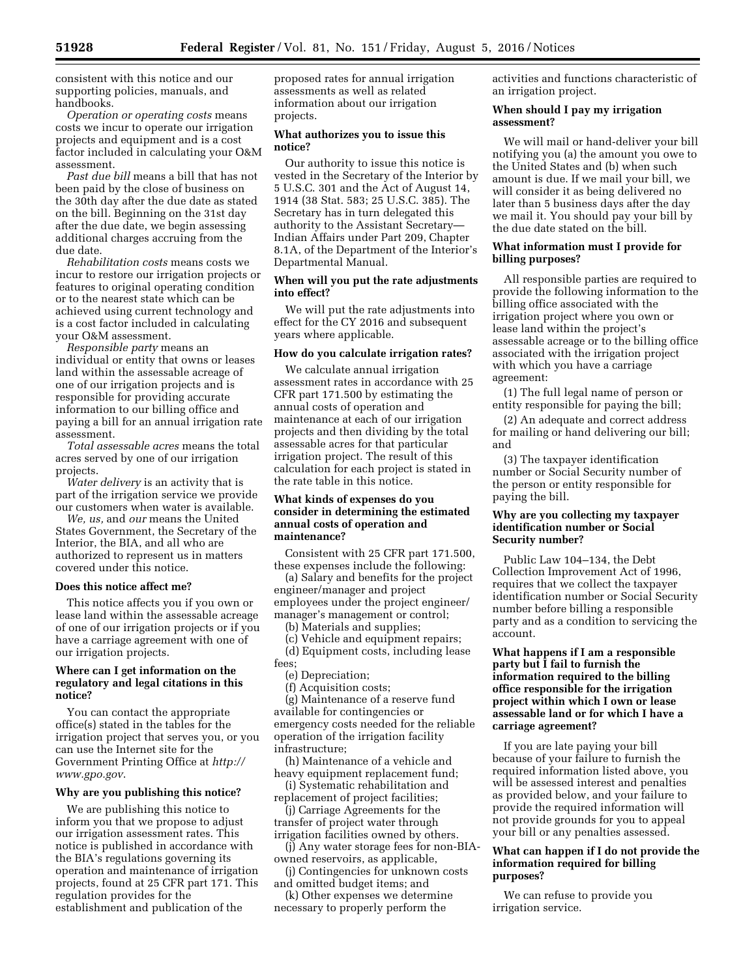consistent with this notice and our supporting policies, manuals, and handbooks.

*Operation or operating costs* means costs we incur to operate our irrigation projects and equipment and is a cost factor included in calculating your O&M assessment.

*Past due bill* means a bill that has not been paid by the close of business on the 30th day after the due date as stated on the bill. Beginning on the 31st day after the due date, we begin assessing additional charges accruing from the due date.

*Rehabilitation costs* means costs we incur to restore our irrigation projects or features to original operating condition or to the nearest state which can be achieved using current technology and is a cost factor included in calculating your O&M assessment.

*Responsible party* means an individual or entity that owns or leases land within the assessable acreage of one of our irrigation projects and is responsible for providing accurate information to our billing office and paying a bill for an annual irrigation rate assessment.

*Total assessable acres* means the total acres served by one of our irrigation projects.

*Water delivery* is an activity that is part of the irrigation service we provide our customers when water is available.

*We, us,* and *our* means the United States Government, the Secretary of the Interior, the BIA, and all who are authorized to represent us in matters covered under this notice.

#### **Does this notice affect me?**

This notice affects you if you own or lease land within the assessable acreage of one of our irrigation projects or if you have a carriage agreement with one of our irrigation projects.

### **Where can I get information on the regulatory and legal citations in this notice?**

You can contact the appropriate office(s) stated in the tables for the irrigation project that serves you, or you can use the Internet site for the Government Printing Office at *[http://](http://www.gpo.gov) [www.gpo.gov](http://www.gpo.gov)*.

#### **Why are you publishing this notice?**

We are publishing this notice to inform you that we propose to adjust our irrigation assessment rates. This notice is published in accordance with the BIA's regulations governing its operation and maintenance of irrigation projects, found at 25 CFR part 171. This regulation provides for the establishment and publication of the

proposed rates for annual irrigation assessments as well as related information about our irrigation projects.

### **What authorizes you to issue this notice?**

Our authority to issue this notice is vested in the Secretary of the Interior by 5 U.S.C. 301 and the Act of August 14, 1914 (38 Stat. 583; 25 U.S.C. 385). The Secretary has in turn delegated this authority to the Assistant Secretary— Indian Affairs under Part 209, Chapter 8.1A, of the Department of the Interior's Departmental Manual.

#### **When will you put the rate adjustments into effect?**

We will put the rate adjustments into effect for the CY 2016 and subsequent years where applicable.

#### **How do you calculate irrigation rates?**

We calculate annual irrigation assessment rates in accordance with 25 CFR part 171.500 by estimating the annual costs of operation and maintenance at each of our irrigation projects and then dividing by the total assessable acres for that particular irrigation project. The result of this calculation for each project is stated in the rate table in this notice.

### **What kinds of expenses do you consider in determining the estimated annual costs of operation and maintenance?**

Consistent with 25 CFR part 171.500, these expenses include the following:

(a) Salary and benefits for the project engineer/manager and project employees under the project engineer/ manager's management or control;

(b) Materials and supplies;

(c) Vehicle and equipment repairs;

(d) Equipment costs, including lease fees;

- (e) Depreciation;
- (f) Acquisition costs;

(g) Maintenance of a reserve fund available for contingencies or emergency costs needed for the reliable operation of the irrigation facility infrastructure;

(h) Maintenance of a vehicle and heavy equipment replacement fund;

(i) Systematic rehabilitation and replacement of project facilities;

(j) Carriage Agreements for the transfer of project water through irrigation facilities owned by others.

(j) Any water storage fees for non-BIAowned reservoirs, as applicable,

(j) Contingencies for unknown costs and omitted budget items; and

(k) Other expenses we determine necessary to properly perform the

activities and functions characteristic of an irrigation project.

#### **When should I pay my irrigation assessment?**

We will mail or hand-deliver your bill notifying you (a) the amount you owe to the United States and (b) when such amount is due. If we mail your bill, we will consider it as being delivered no later than 5 business days after the day we mail it. You should pay your bill by the due date stated on the bill.

### **What information must I provide for billing purposes?**

All responsible parties are required to provide the following information to the billing office associated with the irrigation project where you own or lease land within the project's assessable acreage or to the billing office associated with the irrigation project with which you have a carriage agreement:

(1) The full legal name of person or entity responsible for paying the bill;

(2) An adequate and correct address for mailing or hand delivering our bill; and

(3) The taxpayer identification number or Social Security number of the person or entity responsible for paying the bill.

### **Why are you collecting my taxpayer identification number or Social Security number?**

Public Law 104–134, the Debt Collection Improvement Act of 1996, requires that we collect the taxpayer identification number or Social Security number before billing a responsible party and as a condition to servicing the account.

### **What happens if I am a responsible party but I fail to furnish the information required to the billing office responsible for the irrigation project within which I own or lease assessable land or for which I have a carriage agreement?**

If you are late paying your bill because of your failure to furnish the required information listed above, you will be assessed interest and penalties as provided below, and your failure to provide the required information will not provide grounds for you to appeal your bill or any penalties assessed.

### **What can happen if I do not provide the information required for billing purposes?**

We can refuse to provide you irrigation service.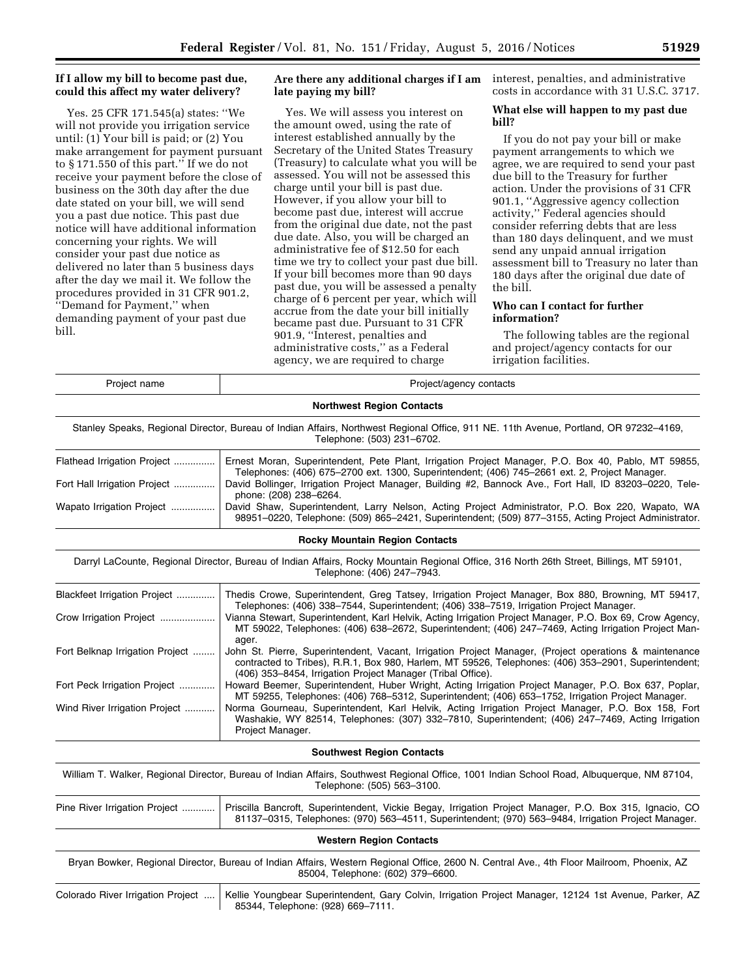# **If I allow my bill to become past due, could this affect my water delivery?**

Yes. 25 CFR 171.545(a) states: ''We will not provide you irrigation service until: (1) Your bill is paid; or (2) You make arrangement for payment pursuant to § 171.550 of this part.'' If we do not receive your payment before the close of business on the 30th day after the due date stated on your bill, we will send you a past due notice. This past due notice will have additional information concerning your rights. We will consider your past due notice as delivered no later than 5 business days after the day we mail it. We follow the procedures provided in 31 CFR 901.2, ''Demand for Payment,'' when demanding payment of your past due bill.

# **Are there any additional charges if I am late paying my bill?**

Yes. We will assess you interest on the amount owed, using the rate of interest established annually by the Secretary of the United States Treasury (Treasury) to calculate what you will be assessed. You will not be assessed this charge until your bill is past due. However, if you allow your bill to become past due, interest will accrue from the original due date, not the past due date. Also, you will be charged an administrative fee of \$12.50 for each time we try to collect your past due bill. If your bill becomes more than 90 days past due, you will be assessed a penalty charge of 6 percent per year, which will accrue from the date your bill initially became past due. Pursuant to 31 CFR 901.9, ''Interest, penalties and administrative costs,'' as a Federal agency, we are required to charge

interest, penalties, and administrative costs in accordance with 31 U.S.C. 3717.

# **What else will happen to my past due bill?**

If you do not pay your bill or make payment arrangements to which we agree, we are required to send your past due bill to the Treasury for further action. Under the provisions of 31 CFR 901.1, ''Aggressive agency collection activity,'' Federal agencies should consider referring debts that are less than 180 days delinquent, and we must send any unpaid annual irrigation assessment bill to Treasury no later than 180 days after the original due date of the bill.

### **Who can I contact for further information?**

The following tables are the regional and project/agency contacts for our irrigation facilities.

| Project name                      | Project/agency contacts                                                                                                                                                                                                                                                       |
|-----------------------------------|-------------------------------------------------------------------------------------------------------------------------------------------------------------------------------------------------------------------------------------------------------------------------------|
|                                   | <b>Northwest Region Contacts</b>                                                                                                                                                                                                                                              |
|                                   | Stanley Speaks, Regional Director, Bureau of Indian Affairs, Northwest Regional Office, 911 NE. 11th Avenue, Portland, OR 97232-4169,<br>Telephone: (503) 231-6702.                                                                                                           |
| Flathead Irrigation Project       | Ernest Moran, Superintendent, Pete Plant, Irrigation Project Manager, P.O. Box 40, Pablo, MT 59855,<br>Telephones: (406) 675-2700 ext. 1300, Superintendent; (406) 745-2661 ext. 2, Project Manager.                                                                          |
| Fort Hall Irrigation Project      | David Bollinger, Irrigation Project Manager, Building #2, Bannock Ave., Fort Hall, ID 83203-0220, Tele-<br>phone: (208) 238-6264.                                                                                                                                             |
| Wapato Irrigation Project         | David Shaw, Superintendent, Larry Nelson, Acting Project Administrator, P.O. Box 220, Wapato, WA<br>98951-0220, Telephone: (509) 865-2421, Superintendent: (509) 877-3155, Acting Project Administrator.                                                                      |
|                                   | <b>Rocky Mountain Region Contacts</b>                                                                                                                                                                                                                                         |
|                                   | Darryl LaCounte, Regional Director, Bureau of Indian Affairs, Rocky Mountain Regional Office, 316 North 26th Street, Billings, MT 59101,<br>Telephone: (406) 247-7943.                                                                                                        |
| Blackfeet Irrigation Project      | Thedis Crowe, Superintendent, Greg Tatsey, Irrigation Project Manager, Box 880, Browning, MT 59417,<br>Telephones: (406) 338-7544, Superintendent; (406) 338-7519, Irrigation Project Manager.                                                                                |
| Crow Irrigation Project           | Vianna Stewart, Superintendent, Karl Helvik, Acting Irrigation Project Manager, P.O. Box 69, Crow Agency,<br>MT 59022, Telephones: (406) 638-2672, Superintendent; (406) 247-7469, Acting Irrigation Project Man-<br>ager.                                                    |
| Fort Belknap Irrigation Project   | John St. Pierre, Superintendent, Vacant, Irrigation Project Manager, (Project operations & maintenance<br>contracted to Tribes), R.R.1, Box 980, Harlem, MT 59526, Telephones: (406) 353-2901, Superintendent;<br>(406) 353-8454, Irrigation Project Manager (Tribal Office). |
| Fort Peck Irrigation Project      | Howard Beemer, Superintendent, Huber Wright, Acting Irrigation Project Manager, P.O. Box 637, Poplar,<br>MT 59255, Telephones: (406) 768–5312, Superintendent; (406) 653–1752, Irrigation Project Manager.                                                                    |
| Wind River Irrigation Project     | Norma Gourneau, Superintendent, Karl Helvik, Acting Irrigation Project Manager, P.O. Box 158, Fort<br>Washakie, WY 82514, Telephones: (307) 332-7810, Superintendent; (406) 247-7469, Acting Irrigation<br>Project Manager.                                                   |
|                                   | <b>Southwest Region Contacts</b>                                                                                                                                                                                                                                              |
|                                   | William T. Walker, Regional Director, Bureau of Indian Affairs, Southwest Regional Office, 1001 Indian School Road, Albuquerque, NM 87104,<br>Telephone: (505) 563-3100.                                                                                                      |
| Pine River Irrigation Project     | Priscilla Bancroft, Superintendent, Vickie Begay, Irrigation Project Manager, P.O. Box 315, Ignacio, CO<br>81137-0315, Telephones: (970) 563-4511, Superintendent; (970) 563-9484, Irrigation Project Manager.                                                                |
|                                   | <b>Western Region Contacts</b>                                                                                                                                                                                                                                                |
|                                   | Bryan Bowker, Regional Director, Bureau of Indian Affairs, Western Regional Office, 2600 N. Central Ave., 4th Floor Mailroom, Phoenix, AZ<br>85004, Telephone: (602) 379-6600.                                                                                                |
| Colorado River Irrigation Project | Kellie Youngbear Superintendent, Gary Colvin, Irrigation Project Manager, 12124 1st Avenue, Parker, AZ<br>85344, Telephone: (928) 669-7111.                                                                                                                                   |
|                                   |                                                                                                                                                                                                                                                                               |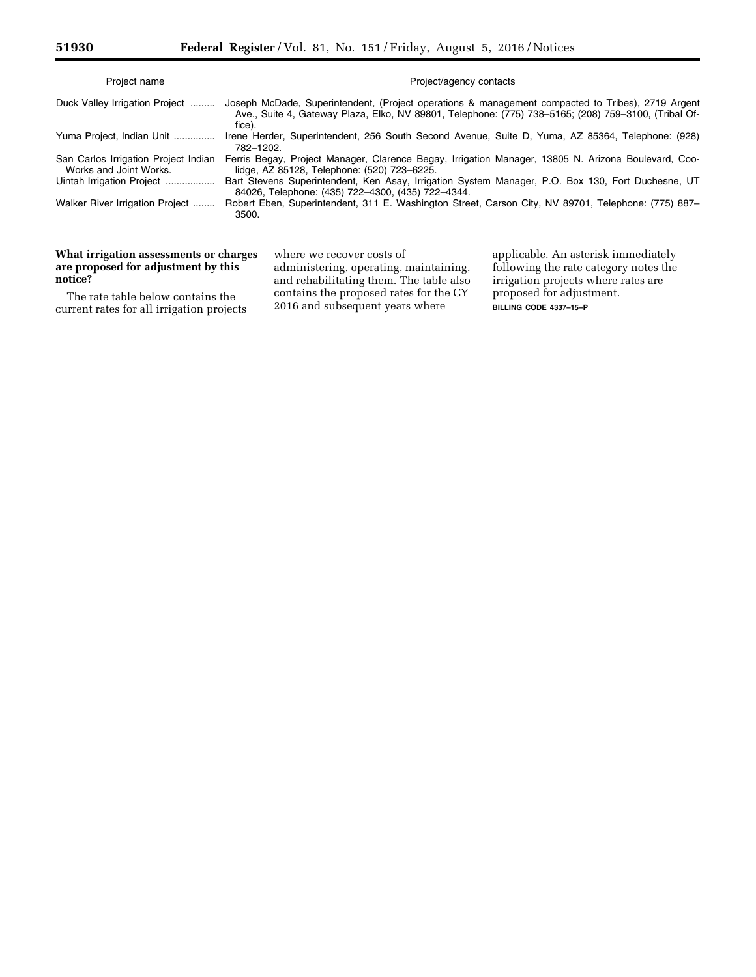| Project name                                                   | Project/agency contacts                                                                                                                                                                                             |
|----------------------------------------------------------------|---------------------------------------------------------------------------------------------------------------------------------------------------------------------------------------------------------------------|
| Duck Valley Irrigation Project                                 | Joseph McDade, Superintendent, (Project operations & management compacted to Tribes), 2719 Argent<br>Ave., Suite 4, Gateway Plaza, Elko, NV 89801, Telephone: (775) 738–5165; (208) 759–3100, (Tribal Of-<br>fice). |
| Yuma Project, Indian Unit                                      | Irene Herder, Superintendent, 256 South Second Avenue, Suite D, Yuma, AZ 85364, Telephone: (928)<br>782-1202.                                                                                                       |
| San Carlos Irrigation Project Indian<br>Works and Joint Works. | Ferris Begay, Project Manager, Clarence Begay, Irrigation Manager, 13805 N. Arizona Boulevard, Coo-<br>lidge, AZ 85128, Telephone: (520) 723-6225.                                                                  |
| Uintah Irrigation Project                                      | Bart Stevens Superintendent, Ken Asay, Irrigation System Manager, P.O. Box 130, Fort Duchesne, UT<br>84026, Telephone: (435) 722-4300, (435) 722-4344.                                                              |
| Walker River Irrigation Project                                | Robert Eben, Superintendent, 311 E. Washington Street, Carson City, NV 89701, Telephone: (775) 887–<br>3500.                                                                                                        |

# **What irrigation assessments or charges are proposed for adjustment by this notice?**

The rate table below contains the current rates for all irrigation projects

where we recover costs of administering, operating, maintaining, and rehabilitating them. The table also contains the proposed rates for the CY 2016 and subsequent years where

applicable. An asterisk immediately following the rate category notes the irrigation projects where rates are proposed for adjustment. **BILLING CODE 4337–15–P**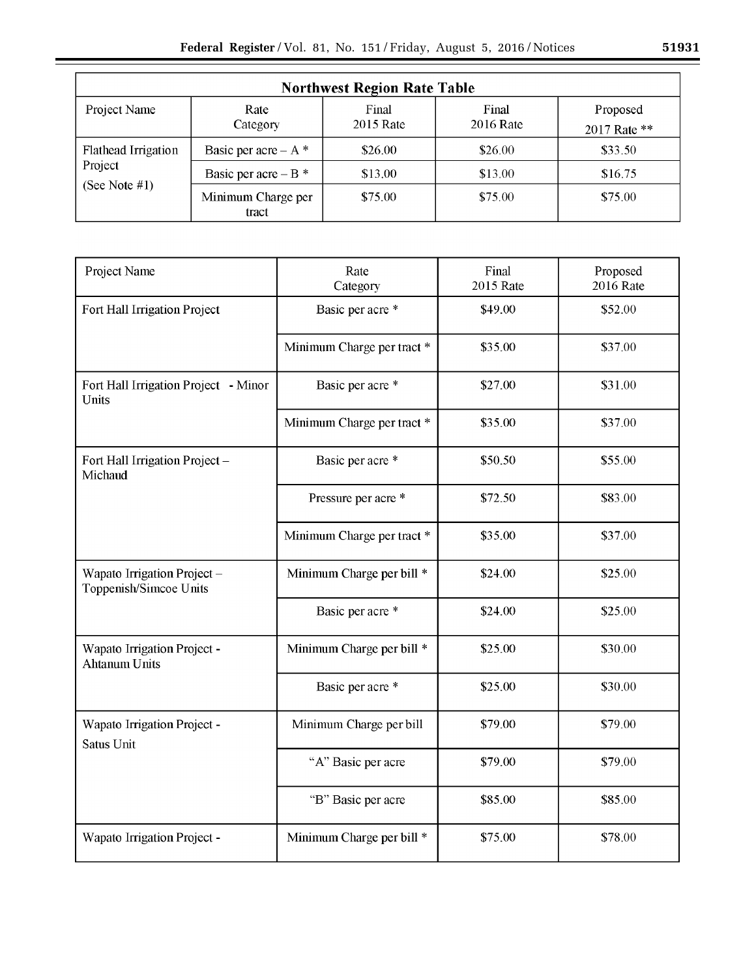|                            |                             | <b>Northwest Region Rate Table</b> |                    |                          |
|----------------------------|-----------------------------|------------------------------------|--------------------|--------------------------|
| Project Name               | Rate<br>Category            | Final<br>2015 Rate                 | Final<br>2016 Rate | Proposed<br>2017 Rate ** |
| <b>Flathead Irrigation</b> | Basic per acre – $A^*$      | \$26.00                            | \$26.00            | \$33.50                  |
| Project                    | Basic per acre – $B^*$      | \$13.00                            | \$13.00            | \$16.75                  |
| (See Note $#1$ )           | Minimum Charge per<br>tract | \$75.00                            | \$75.00            | \$75.00                  |

| Project Name                                          | Rate<br>Category           | Final<br><b>2015 Rate</b> | Proposed<br><b>2016</b> Rate |
|-------------------------------------------------------|----------------------------|---------------------------|------------------------------|
| Fort Hall Irrigation Project                          | Basic per acre *           | \$49.00                   | \$52.00                      |
|                                                       | Minimum Charge per tract * | \$35.00                   | \$37.00                      |
| Fort Hall Irrigation Project - Minor<br>Units         | Basic per acre *           | \$27.00                   | \$31.00                      |
|                                                       | Minimum Charge per tract * | \$35.00                   | \$37.00                      |
| Fort Hall Irrigation Project -<br>Michaud             | Basic per acre *           | \$50.50                   | \$55.00                      |
|                                                       | Pressure per acre *        | \$72.50                   | \$83.00                      |
|                                                       | Minimum Charge per tract * | \$35.00                   | \$37.00                      |
| Wapato Irrigation Project -<br>Toppenish/Simcoe Units | Minimum Charge per bill *  | \$24.00                   | \$25.00                      |
|                                                       | Basic per acre *           | \$24.00                   | \$25.00                      |
| Wapato Irrigation Project -<br><b>Ahtanum Units</b>   | Minimum Charge per bill *  | \$25.00                   | \$30.00                      |
|                                                       | Basic per acre *           | \$25.00                   | \$30.00                      |
| Wapato Irrigation Project -<br>Satus Unit             | Minimum Charge per bill    | \$79.00                   | \$79.00                      |
|                                                       | "A" Basic per acre         | \$79.00                   | \$79.00                      |
|                                                       | "B" Basic per acre         | \$85.00                   | \$85.00                      |
| Wapato Irrigation Project -                           | Minimum Charge per bill *  | \$75.00                   | \$78.00                      |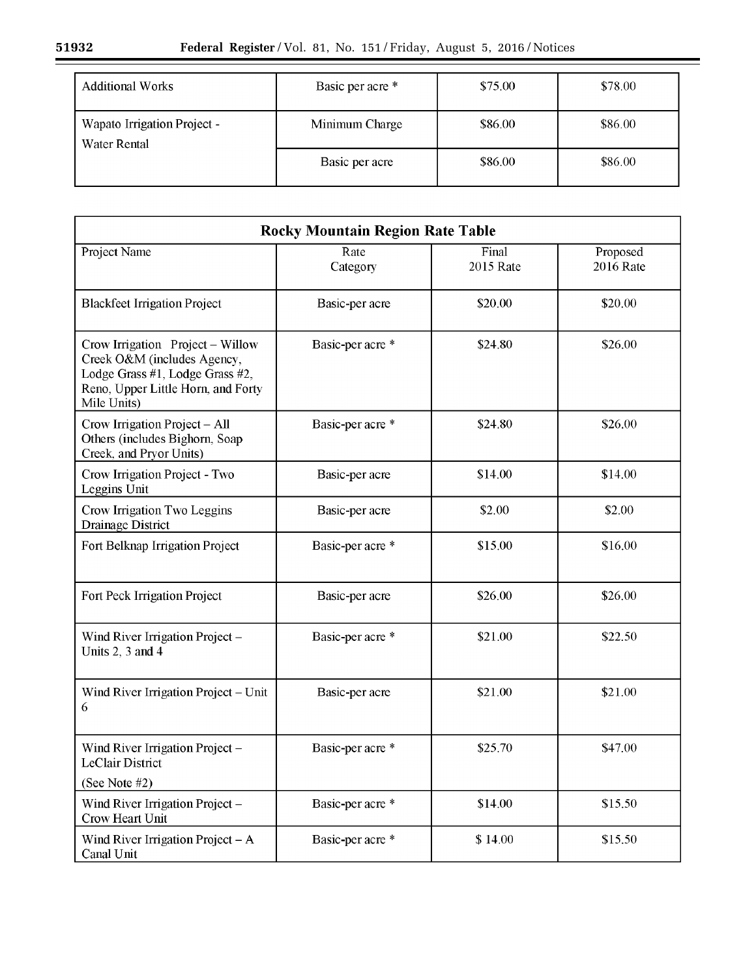| <b>Additional Works</b>                     | Basic per acre * | \$75.00 | \$78.00 |
|---------------------------------------------|------------------|---------|---------|
| Wapato Irrigation Project -<br>Water Rental | Minimum Charge   | \$86.00 | \$86.00 |
|                                             | Basic per acre   | \$86.00 | \$86.00 |

| <b>Rocky Mountain Region Rate Table</b>                                                                                                                 |                  |                    |                              |
|---------------------------------------------------------------------------------------------------------------------------------------------------------|------------------|--------------------|------------------------------|
| Project Name                                                                                                                                            | Rate<br>Category | Final<br>2015 Rate | Proposed<br><b>2016 Rate</b> |
| <b>Blackfeet Irrigation Project</b>                                                                                                                     | Basic-per acre   | \$20.00            | \$20.00                      |
| Crow Irrigation Project - Willow<br>Creek O&M (includes Agency,<br>Lodge Grass #1, Lodge Grass #2,<br>Reno, Upper Little Horn, and Forty<br>Mile Units) | Basic-per acre * | \$24.80            | \$26.00                      |
| Crow Irrigation Project - All<br>Others (includes Bighorn, Soap<br>Creek, and Pryor Units)                                                              | Basic-per acre * | \$24.80            | \$26.00                      |
| Crow Irrigation Project - Two<br>Leggins Unit                                                                                                           | Basic-per acre   | \$14.00            | \$14.00                      |
| Crow Irrigation Two Leggins<br>Drainage District                                                                                                        | Basic-per acre   | \$2.00             | \$2.00                       |
| Fort Belknap Irrigation Project                                                                                                                         | Basic-per acre * | \$15.00            | \$16.00                      |
| Fort Peck Irrigation Project                                                                                                                            | Basic-per acre   | \$26.00            | \$26.00                      |
| Wind River Irrigation Project -<br>Units 2, 3 and 4                                                                                                     | Basic-per acre * | \$21.00            | \$22.50                      |
| Wind River Irrigation Project - Unit<br>6                                                                                                               | Basic-per acre   | \$21.00            | \$21.00                      |
| Wind River Irrigation Project -<br><b>LeClair District</b><br>(See Note #2)                                                                             | Basic-per acre * | \$25.70            | \$47.00                      |
| Wind River Irrigation Project -<br>Crow Heart Unit                                                                                                      | Basic-per acre * | \$14.00            | \$15.50                      |
| Wind River Irrigation Project $- A$<br>Canal Unit                                                                                                       | Basic-per acre * | \$14.00            | \$15.50                      |

 $\equiv$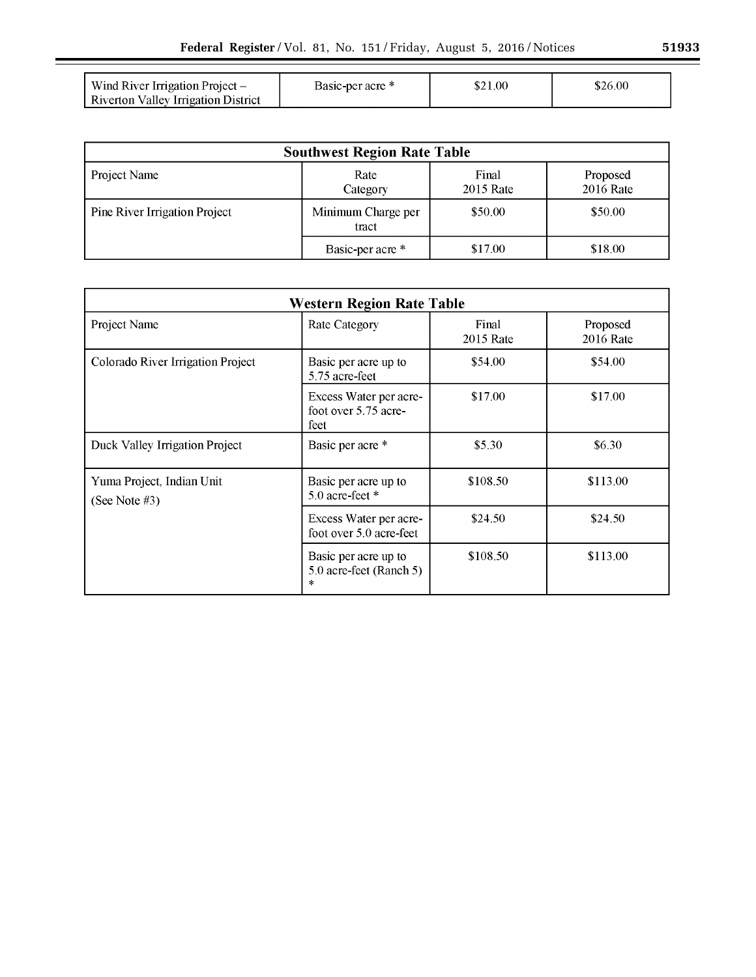| Wind River Irrigation Project –<br>Riverton Valley Irrigation District | Basic-per acre * | \$21.00 | \$26.00 |
|------------------------------------------------------------------------|------------------|---------|---------|

| <b>Southwest Region Rate Table</b> |                             |                    |                       |
|------------------------------------|-----------------------------|--------------------|-----------------------|
| Project Name                       | Rate<br>Category            | Final<br>2015 Rate | Proposed<br>2016 Rate |
| Pine River Irrigation Project      | Minimum Charge per<br>tract | \$50.00            | \$50.00               |
|                                    | Basic-per acre *            | \$17.00            | \$18.00               |

| <b>Western Region Rate Table</b>           |                                                        |                    |                       |
|--------------------------------------------|--------------------------------------------------------|--------------------|-----------------------|
| Project Name                               | <b>Rate Category</b>                                   | Final<br>2015 Rate | Proposed<br>2016 Rate |
| Colorado River Irrigation Project          | Basic per acre up to<br>5.75 acre-feet                 | \$54.00            | \$54.00               |
|                                            | Excess Water per acre-<br>foot over 5.75 acre-<br>feet | \$17.00            | \$17.00               |
| Duck Valley Irrigation Project             | Basic per acre *                                       | \$5.30             | \$6.30                |
| Yuma Project, Indian Unit<br>(See Note #3) | Basic per acre up to<br>5.0 acre-feet $*$              | \$108.50           | \$113.00              |
|                                            | Excess Water per acre-<br>foot over 5.0 acre-feet      | \$24.50            | \$24.50               |
|                                            | Basic per acre up to<br>5.0 acre-feet (Ranch 5)<br>*   | \$108.50           | \$113.00              |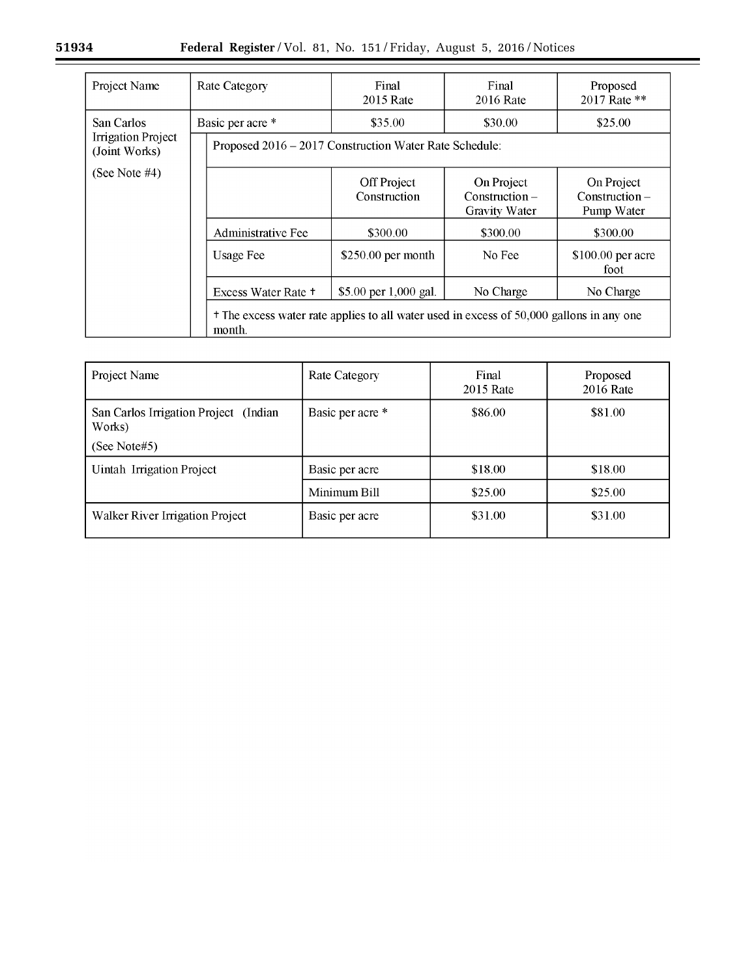$\equiv$ 

| Project Name                               | <b>Rate Category</b>                                                                                          | Final<br>2015 Rate          | Final<br>2016 Rate                                     | Proposed<br>2017 Rate **                     |
|--------------------------------------------|---------------------------------------------------------------------------------------------------------------|-----------------------------|--------------------------------------------------------|----------------------------------------------|
| San Carlos                                 | Basic per acre *                                                                                              | \$35.00                     | \$30.00                                                | \$25.00                                      |
| <b>Irrigation Project</b><br>(Joint Works) | Proposed 2016 – 2017 Construction Water Rate Schedule:                                                        |                             |                                                        |                                              |
| (See Note $#4$ )                           |                                                                                                               | Off Project<br>Construction | On Project<br>$Construction -$<br><b>Gravity Water</b> | On Project<br>$Construction -$<br>Pump Water |
|                                            | <b>Administrative Fee</b>                                                                                     | \$300.00                    | \$300.00                                               | \$300.00                                     |
|                                            | <b>Usage Fee</b>                                                                                              | $$250.00$ per month         | No Fee                                                 | \$100.00 per acre<br>foot                    |
|                                            | Excess Water Rate +                                                                                           | \$5.00 per 1,000 gal.       | No Charge                                              | No Charge                                    |
|                                            | <sup>+</sup> The excess water rate applies to all water used in excess of 50,000 gallons in any one<br>month. |                             |                                                        |                                              |

| Project Name                                    | <b>Rate Category</b> | Final<br>2015 Rate | Proposed<br>2016 Rate |
|-------------------------------------------------|----------------------|--------------------|-----------------------|
| San Carlos Irrigation Project (Indian<br>Works) | Basic per acre *     | \$86.00            | \$81.00               |
| (See Note#5)                                    |                      |                    |                       |
| Uintah Irrigation Project                       | Basic per acre       | \$18.00            | \$18.00               |
|                                                 | Minimum Bill         | \$25.00            | \$25.00               |
| <b>Walker River Irrigation Project</b>          | Basic per acre       | \$31.00            | \$31.00               |

 $\equiv$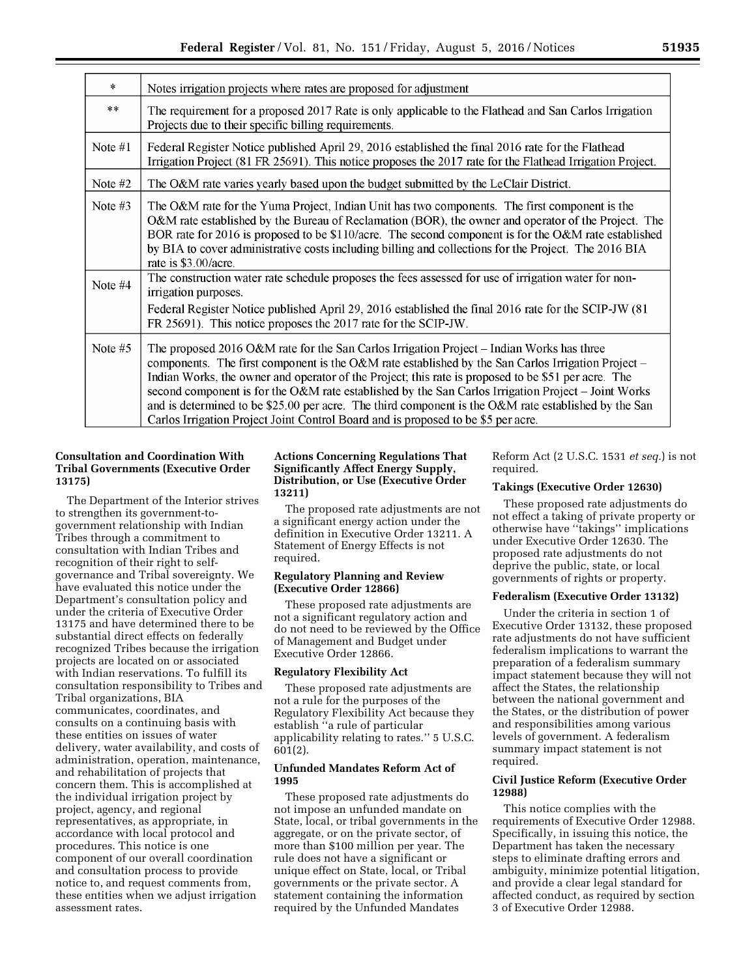| $\ast$    | Notes irrigation projects where rates are proposed for adjustment                                                                                                                                                                                                                                                                                                                                                                                                                                                                                                                                          |
|-----------|------------------------------------------------------------------------------------------------------------------------------------------------------------------------------------------------------------------------------------------------------------------------------------------------------------------------------------------------------------------------------------------------------------------------------------------------------------------------------------------------------------------------------------------------------------------------------------------------------------|
| $**$      | The requirement for a proposed 2017 Rate is only applicable to the Flathead and San Carlos Irrigation<br>Projects due to their specific billing requirements.                                                                                                                                                                                                                                                                                                                                                                                                                                              |
| Note $#1$ | Federal Register Notice published April 29, 2016 established the final 2016 rate for the Flathead<br>Irrigation Project (81 FR 25691). This notice proposes the 2017 rate for the Flathead Irrigation Project.                                                                                                                                                                                                                                                                                                                                                                                             |
| Note #2   | The O&M rate varies yearly based upon the budget submitted by the LeClair District.                                                                                                                                                                                                                                                                                                                                                                                                                                                                                                                        |
| Note $#3$ | The O&M rate for the Yuma Project, Indian Unit has two components. The first component is the<br>O&M rate established by the Bureau of Reclamation (BOR), the owner and operator of the Project. The<br>BOR rate for 2016 is proposed to be \$110/acre. The second component is for the O&M rate established<br>by BIA to cover administrative costs including billing and collections for the Project. The 2016 BIA<br>rate is \$3.00/acre.                                                                                                                                                               |
| Note #4   | The construction water rate schedule proposes the fees assessed for use of irrigation water for non-<br>irrigation purposes.                                                                                                                                                                                                                                                                                                                                                                                                                                                                               |
|           | Federal Register Notice published April 29, 2016 established the final 2016 rate for the SCIP-JW (81)<br>FR 25691). This notice proposes the 2017 rate for the SCIP-JW.                                                                                                                                                                                                                                                                                                                                                                                                                                    |
| Note $#5$ | The proposed 2016 O&M rate for the San Carlos Irrigation Project – Indian Works has three<br>components. The first component is the O&M rate established by the San Carlos Irrigation Project –<br>Indian Works, the owner and operator of the Project; this rate is proposed to be \$51 per acre. The<br>second component is for the O&M rate established by the San Carlos Irrigation Project - Joint Works<br>and is determined to be \$25.00 per acre. The third component is the O&M rate established by the San<br>Carlos Irrigation Project Joint Control Board and is proposed to be \$5 per acre. |

# **Consultation and Coordination With Tribal Governments (Executive Order 13175)**

The Department of the Interior strives to strengthen its government-togovernment relationship with Indian Tribes through a commitment to consultation with Indian Tribes and recognition of their right to selfgovernance and Tribal sovereignty. We have evaluated this notice under the Department's consultation policy and under the criteria of Executive Order 13175 and have determined there to be substantial direct effects on federally recognized Tribes because the irrigation projects are located on or associated with Indian reservations. To fulfill its consultation responsibility to Tribes and Tribal organizations, BIA communicates, coordinates, and consults on a continuing basis with these entities on issues of water delivery, water availability, and costs of administration, operation, maintenance, and rehabilitation of projects that concern them. This is accomplished at the individual irrigation project by project, agency, and regional representatives, as appropriate, in accordance with local protocol and procedures. This notice is one component of our overall coordination and consultation process to provide notice to, and request comments from, these entities when we adjust irrigation assessment rates.

# **Actions Concerning Regulations That Significantly Affect Energy Supply, Distribution, or Use (Executive Order 13211)**

The proposed rate adjustments are not a significant energy action under the definition in Executive Order 13211. A Statement of Energy Effects is not required.

## **Regulatory Planning and Review (Executive Order 12866)**

These proposed rate adjustments are not a significant regulatory action and do not need to be reviewed by the Office of Management and Budget under Executive Order 12866.

# **Regulatory Flexibility Act**

These proposed rate adjustments are not a rule for the purposes of the Regulatory Flexibility Act because they establish ''a rule of particular applicability relating to rates.'' 5 U.S.C. 601(2).

# **Unfunded Mandates Reform Act of 1995**

These proposed rate adjustments do not impose an unfunded mandate on State, local, or tribal governments in the aggregate, or on the private sector, of more than \$100 million per year. The rule does not have a significant or unique effect on State, local, or Tribal governments or the private sector. A statement containing the information required by the Unfunded Mandates

Reform Act (2 U.S.C. 1531 *et seq.*) is not required.

# **Takings (Executive Order 12630)**

These proposed rate adjustments do not effect a taking of private property or otherwise have ''takings'' implications under Executive Order 12630. The proposed rate adjustments do not deprive the public, state, or local governments of rights or property.

# **Federalism (Executive Order 13132)**

Under the criteria in section 1 of Executive Order 13132, these proposed rate adjustments do not have sufficient federalism implications to warrant the preparation of a federalism summary impact statement because they will not affect the States, the relationship between the national government and the States, or the distribution of power and responsibilities among various levels of government. A federalism summary impact statement is not required.

# **Civil Justice Reform (Executive Order 12988)**

This notice complies with the requirements of Executive Order 12988. Specifically, in issuing this notice, the Department has taken the necessary steps to eliminate drafting errors and ambiguity, minimize potential litigation, and provide a clear legal standard for affected conduct, as required by section 3 of Executive Order 12988.